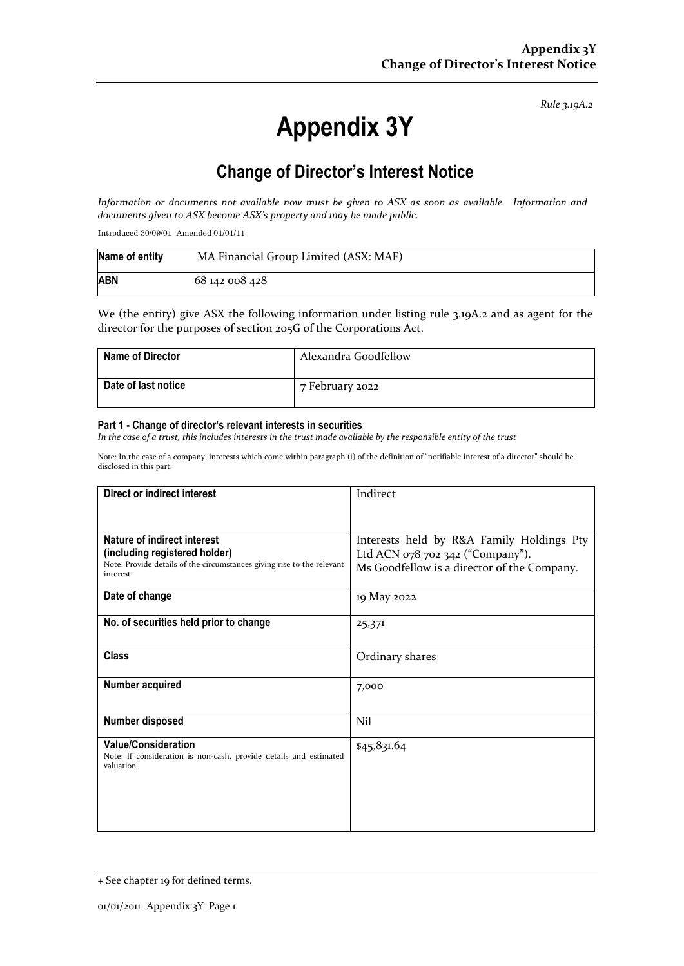*Rule 3.19A.2*

# **Appendix 3Y**

## **Change of Director's Interest Notice**

*Information or documents not available now must be given to ASX as soon as available. Information and documents given to ASX become ASX's property and may be made public.*

Introduced 30/09/01 Amended 01/01/11

| Name of entity | MA Financial Group Limited (ASX: MAF) |
|----------------|---------------------------------------|
| <b>ABN</b>     | 68 142 008 428                        |

We (the entity) give ASX the following information under listing rule 3.19A.2 and as agent for the director for the purposes of section 205G of the Corporations Act.

| <b>Name of Director</b> | Alexandra Goodfellow |
|-------------------------|----------------------|
| Date of last notice     | 7 February 2022      |

#### **Part 1 - Change of director's relevant interests in securities**

*In the case of a trust, this includes interests in the trust made available by the responsible entity of the trust*

Note: In the case of a company, interests which come within paragraph (i) of the definition of "notifiable interest of a director" should be disclosed in this part.

| Direct or indirect interest                                                                                  | Indirect                                                                        |
|--------------------------------------------------------------------------------------------------------------|---------------------------------------------------------------------------------|
|                                                                                                              |                                                                                 |
| <b>Nature of indirect interest</b>                                                                           |                                                                                 |
| (including registered holder)                                                                                | Interests held by R&A Family Holdings Pty                                       |
| Note: Provide details of the circumstances giving rise to the relevant<br>interest.                          | Ltd ACN 078 702 342 ("Company").<br>Ms Goodfellow is a director of the Company. |
| Date of change                                                                                               | 19 May 2022                                                                     |
| No. of securities held prior to change                                                                       | 25,371                                                                          |
| <b>Class</b>                                                                                                 | Ordinary shares                                                                 |
| Number acquired                                                                                              | 7,000                                                                           |
| Number disposed                                                                                              | Nil                                                                             |
| <b>Value/Consideration</b><br>Note: If consideration is non-cash, provide details and estimated<br>valuation | \$45,831.64                                                                     |
|                                                                                                              |                                                                                 |

<sup>+</sup> See chapter 19 for defined terms.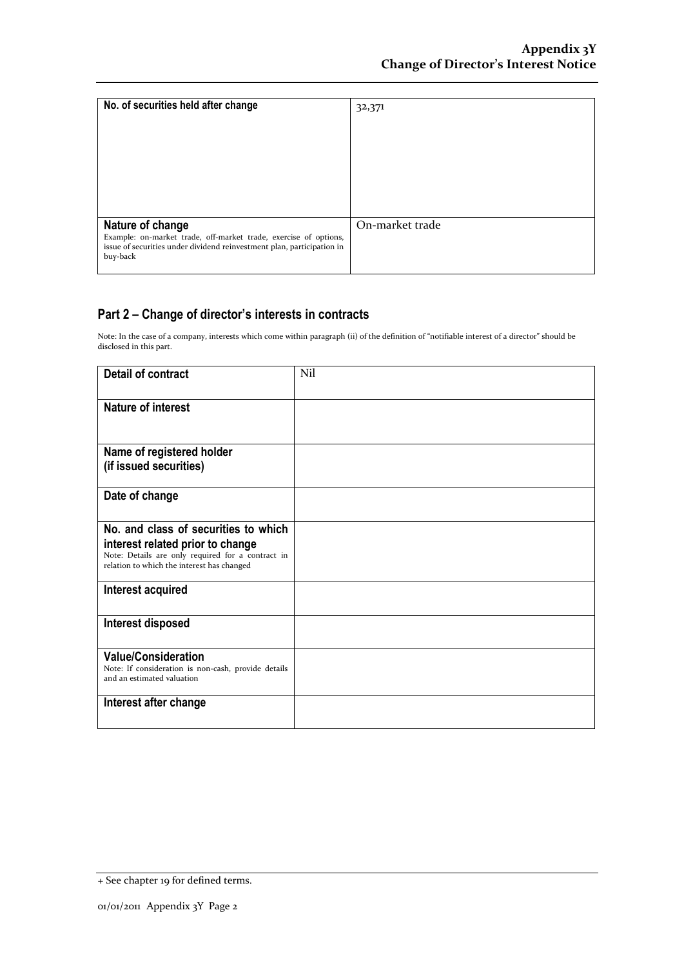| No. of securities held after change                                                                                                                                        | 32,371          |
|----------------------------------------------------------------------------------------------------------------------------------------------------------------------------|-----------------|
|                                                                                                                                                                            |                 |
|                                                                                                                                                                            |                 |
|                                                                                                                                                                            |                 |
| Nature of change<br>Example: on-market trade, off-market trade, exercise of options,<br>issue of securities under dividend reinvestment plan, participation in<br>buy-back | On-market trade |

### **Part 2 – Change of director's interests in contracts**

Note: In the case of a company, interests which come within paragraph (ii) of the definition of "notifiable interest of a director" should be disclosed in this part.

| <b>Detail of contract</b>                                                                                                                                                   | Nil |
|-----------------------------------------------------------------------------------------------------------------------------------------------------------------------------|-----|
| <b>Nature of interest</b>                                                                                                                                                   |     |
| Name of registered holder<br>(if issued securities)                                                                                                                         |     |
| Date of change                                                                                                                                                              |     |
| No. and class of securities to which<br>interest related prior to change<br>Note: Details are only required for a contract in<br>relation to which the interest has changed |     |
| Interest acquired                                                                                                                                                           |     |
| Interest disposed                                                                                                                                                           |     |
| <b>Value/Consideration</b><br>Note: If consideration is non-cash, provide details<br>and an estimated valuation                                                             |     |
| Interest after change                                                                                                                                                       |     |

<sup>+</sup> See chapter 19 for defined terms.